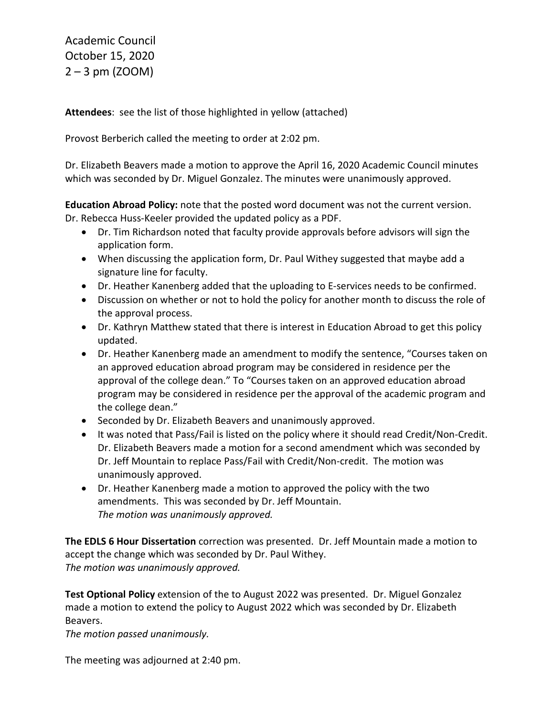Academic Council October 15, 2020  $2 - 3$  pm (ZOOM)

**Attendees**: see the list of those highlighted in yellow (attached)

Provost Berberich called the meeting to order at 2:02 pm.

Dr. Elizabeth Beavers made a motion to approve the April 16, 2020 Academic Council minutes which was seconded by Dr. Miguel Gonzalez. The minutes were unanimously approved.

**Education Abroad Policy:** note that the posted word document was not the current version. Dr. Rebecca Huss-Keeler provided the updated policy as a PDF.

- Dr. Tim Richardson noted that faculty provide approvals before advisors will sign the application form.
- When discussing the application form, Dr. Paul Withey suggested that maybe add a signature line for faculty.
- Dr. Heather Kanenberg added that the uploading to E-services needs to be confirmed.
- Discussion on whether or not to hold the policy for another month to discuss the role of the approval process.
- Dr. Kathryn Matthew stated that there is interest in Education Abroad to get this policy updated.
- Dr. Heather Kanenberg made an amendment to modify the sentence, "Courses taken on an approved education abroad program may be considered in residence per the approval of the college dean." To "Courses taken on an approved education abroad program may be considered in residence per the approval of the academic program and the college dean."
- Seconded by Dr. Elizabeth Beavers and unanimously approved.
- It was noted that Pass/Fail is listed on the policy where it should read Credit/Non-Credit. Dr. Elizabeth Beavers made a motion for a second amendment which was seconded by Dr. Jeff Mountain to replace Pass/Fail with Credit/Non-credit. The motion was unanimously approved.
- Dr. Heather Kanenberg made a motion to approved the policy with the two amendments. This was seconded by Dr. Jeff Mountain. *The motion was unanimously approved.*

**The EDLS 6 Hour Dissertation** correction was presented. Dr. Jeff Mountain made a motion to accept the change which was seconded by Dr. Paul Withey. *The motion was unanimously approved.*

**Test Optional Policy** extension of the to August 2022 was presented. Dr. Miguel Gonzalez made a motion to extend the policy to August 2022 which was seconded by Dr. Elizabeth Beavers.

*The motion passed unanimously.* 

The meeting was adjourned at 2:40 pm.